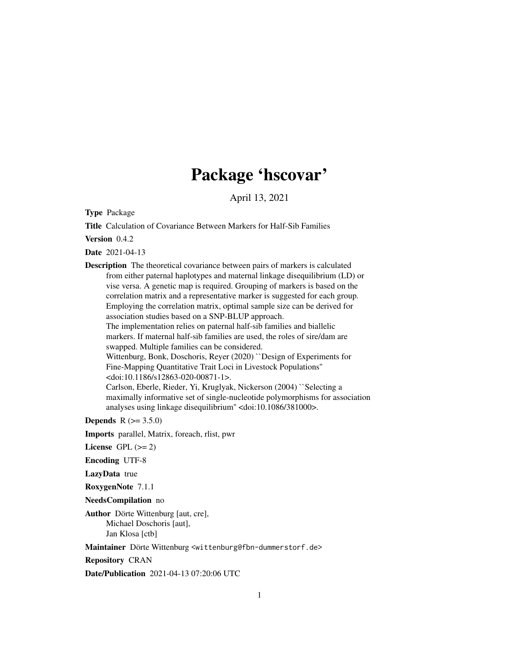# Package 'hscovar'

April 13, 2021

Type Package

Title Calculation of Covariance Between Markers for Half-Sib Families

Version 0.4.2

Date 2021-04-13

Description The theoretical covariance between pairs of markers is calculated from either paternal haplotypes and maternal linkage disequilibrium (LD) or vise versa. A genetic map is required. Grouping of markers is based on the correlation matrix and a representative marker is suggested for each group. Employing the correlation matrix, optimal sample size can be derived for association studies based on a SNP-BLUP approach. The implementation relies on paternal half-sib families and biallelic markers. If maternal half-sib families are used, the roles of sire/dam are swapped. Multiple families can be considered. Wittenburg, Bonk, Doschoris, Reyer (2020) ``Design of Experiments for Fine-Mapping Quantitative Trait Loci in Livestock Populations'' <doi:10.1186/s12863-020-00871-1>. Carlson, Eberle, Rieder, Yi, Kruglyak, Nickerson (2004) ``Selecting a maximally informative set of single-nucleotide polymorphisms for association

analyses using linkage disequilibrium'' <doi:10.1086/381000>.

**Depends**  $R (= 3.5.0)$ 

Imports parallel, Matrix, foreach, rlist, pwr

License GPL  $(>= 2)$ 

Encoding UTF-8

LazyData true

RoxygenNote 7.1.1

NeedsCompilation no

Author Dörte Wittenburg [aut, cre], Michael Doschoris [aut], Jan Klosa [ctb]

Maintainer Dörte Wittenburg <wittenburg@fbn-dummerstorf.de>

Repository CRAN

Date/Publication 2021-04-13 07:20:06 UTC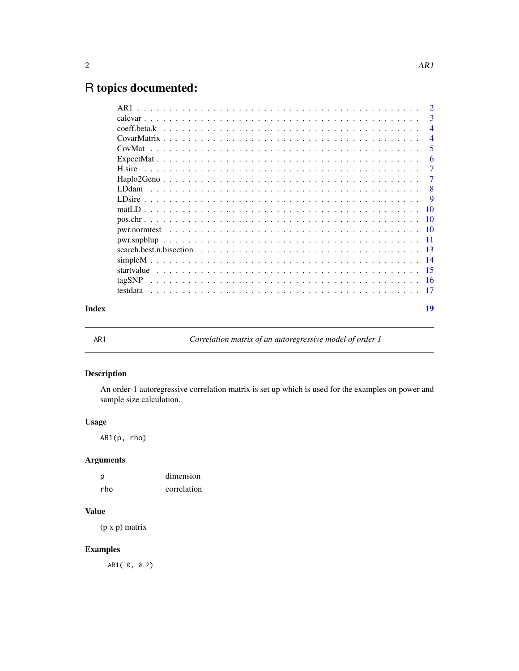# <span id="page-1-0"></span>R topics documented:

|       | AR1      | $\overline{2}$  |
|-------|----------|-----------------|
|       |          | -3              |
|       |          | $\overline{4}$  |
|       |          | $\overline{4}$  |
|       |          | 5               |
|       |          | 6               |
|       |          | 7               |
|       |          | 7               |
|       |          | 8               |
|       |          | <b>9</b>        |
|       |          | $\overline{10}$ |
|       |          | $\overline{10}$ |
|       |          |                 |
|       |          |                 |
|       |          |                 |
|       |          |                 |
|       |          |                 |
|       | tagSNP   |                 |
|       | testdata | - 17            |
| Index |          | 19              |
|       |          |                 |

AR1 *Correlation matrix of an autoregressive model of order 1*

# Description

An order-1 autoregressive correlation matrix is set up which is used for the examples on power and sample size calculation.

# Usage

AR1(p, rho)

# Arguments

| D   | dimension   |
|-----|-------------|
| rho | correlation |

#### Value

(p x p) matrix

# Examples

AR1(10, 0.2)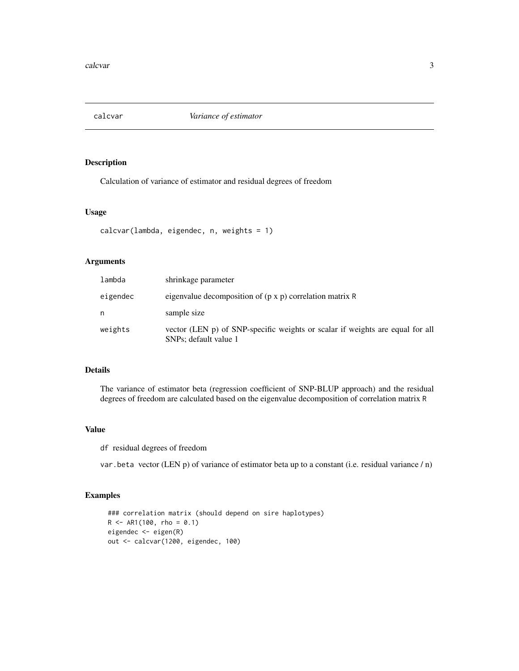<span id="page-2-0"></span>

Calculation of variance of estimator and residual degrees of freedom

#### Usage

```
calcvar(lambda, eigendec, n, weights = 1)
```
# Arguments

| lambda   | shrinkage parameter                                                                                    |
|----------|--------------------------------------------------------------------------------------------------------|
| eigendec | eigenvalue decomposition of $(p \times p)$ correlation matrix R                                        |
| n        | sample size                                                                                            |
| weights  | vector (LEN p) of SNP-specific weights or scalar if weights are equal for all<br>SNPs; default value 1 |

# Details

The variance of estimator beta (regression coefficient of SNP-BLUP approach) and the residual degrees of freedom are calculated based on the eigenvalue decomposition of correlation matrix R

#### Value

df residual degrees of freedom

var.beta vector (LEN p) of variance of estimator beta up to a constant (i.e. residual variance / n)

```
### correlation matrix (should depend on sire haplotypes)
R <- AR1(100, rho = 0.1)
eigendec <- eigen(R)
out <- calcvar(1200, eigendec, 100)
```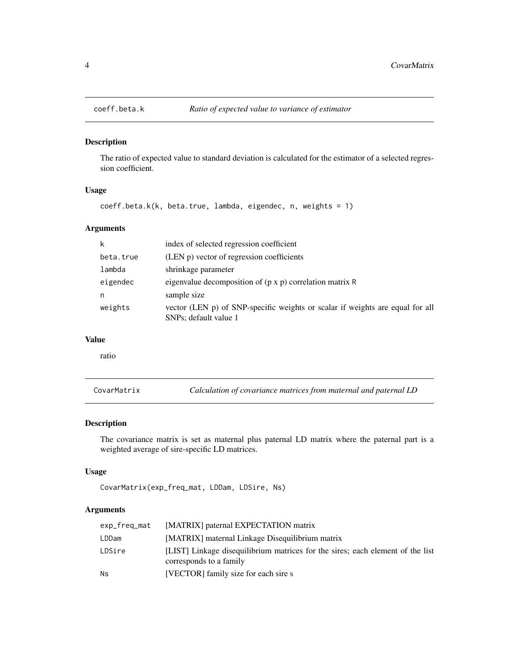<span id="page-3-0"></span>

The ratio of expected value to standard deviation is calculated for the estimator of a selected regression coefficient.

# Usage

```
coeff.beta.k(k, beta.true, lambda, eigendec, n, weights = 1)
```
# Arguments

| k         | index of selected regression coefficient                                                               |
|-----------|--------------------------------------------------------------------------------------------------------|
| beta.true | (LEN p) vector of regression coefficients                                                              |
| lambda    | shrinkage parameter                                                                                    |
| eigendec  | eigenvalue decomposition of $(p \times p)$ correlation matrix R                                        |
| n         | sample size                                                                                            |
| weights   | vector (LEN p) of SNP-specific weights or scalar if weights are equal for all<br>SNPs; default value 1 |

#### Value

ratio

CovarMatrix *Calculation of covariance matrices from maternal and paternal LD*

# Description

The covariance matrix is set as maternal plus paternal LD matrix where the paternal part is a weighted average of sire-specific LD matrices.

# Usage

```
CovarMatrix(exp_freq_mat, LDDam, LDSire, Ns)
```
#### Arguments

| exp_freq_mat | [MATRIX] paternal EXPECTATION matrix                                                                      |
|--------------|-----------------------------------------------------------------------------------------------------------|
| LDDam        | [MATRIX] maternal Linkage Disequilibrium matrix                                                           |
| LDSire       | [LIST] Linkage disequilibrium matrices for the sires; each element of the list<br>corresponds to a family |
| Ns           | [VECTOR] family size for each sire s                                                                      |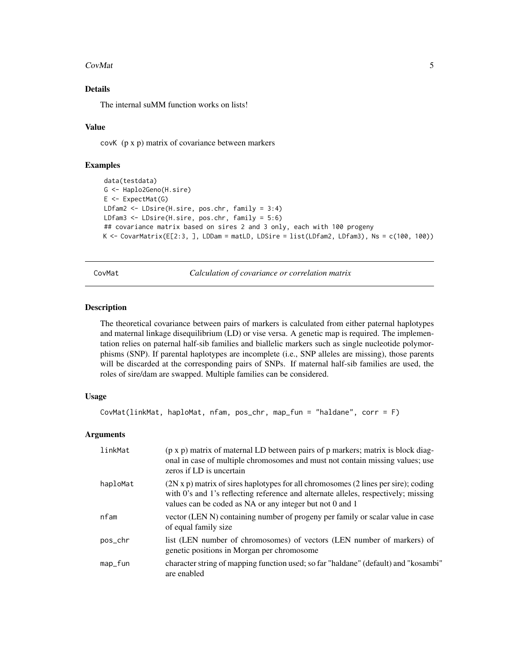#### <span id="page-4-0"></span>**CovMat** 5

# Details

The internal suMM function works on lists!

#### Value

covK (p x p) matrix of covariance between markers

# Examples

```
data(testdata)
G <- Haplo2Geno(H.sire)
E \leftarrow ExpectMat(G)
LDfam2 <- LDsire(H.sire, pos.chr, family = 3:4)
LDfam3 <- LDsire(H.sire, pos.chr, family = 5:6)
## covariance matrix based on sires 2 and 3 only, each with 100 progeny
K <- CovarMatrix(E[2:3, ], LDDam = matLD, LDSire = list(LDfam2, LDfam3), Ns = c(100, 100))
```
CovMat *Calculation of covariance or correlation matrix*

# Description

The theoretical covariance between pairs of markers is calculated from either paternal haplotypes and maternal linkage disequilibrium (LD) or vise versa. A genetic map is required. The implementation relies on paternal half-sib families and biallelic markers such as single nucleotide polymorphisms (SNP). If parental haplotypes are incomplete (i.e., SNP alleles are missing), those parents will be discarded at the corresponding pairs of SNPs. If maternal half-sib families are used, the roles of sire/dam are swapped. Multiple families can be considered.

#### Usage

```
CovMat(linkMat, haploMat, nfam, pos_chr, map_fun = "haldane", corr = F)
```
# Arguments

| linkMat  | (p x p) matrix of maternal LD between pairs of p markers; matrix is block diag-<br>onal in case of multiple chromosomes and must not contain missing values; use<br>zeros if LD is uncertain                                                           |
|----------|--------------------------------------------------------------------------------------------------------------------------------------------------------------------------------------------------------------------------------------------------------|
| haploMat | $(2N \times p)$ matrix of sires haplotypes for all chromosomes $(2 \text{ lines per sire})$ ; coding<br>with 0's and 1's reflecting reference and alternate alleles, respectively; missing<br>values can be coded as NA or any integer but not 0 and 1 |
| nfam     | vector (LEN N) containing number of progeny per family or scalar value in case<br>of equal family size                                                                                                                                                 |
| pos_chr  | list (LEN number of chromosomes) of vectors (LEN number of markers) of<br>genetic positions in Morgan per chromosome                                                                                                                                   |
| map_fun  | character string of mapping function used; so far "haldane" (default) and "kosambi"<br>are enabled                                                                                                                                                     |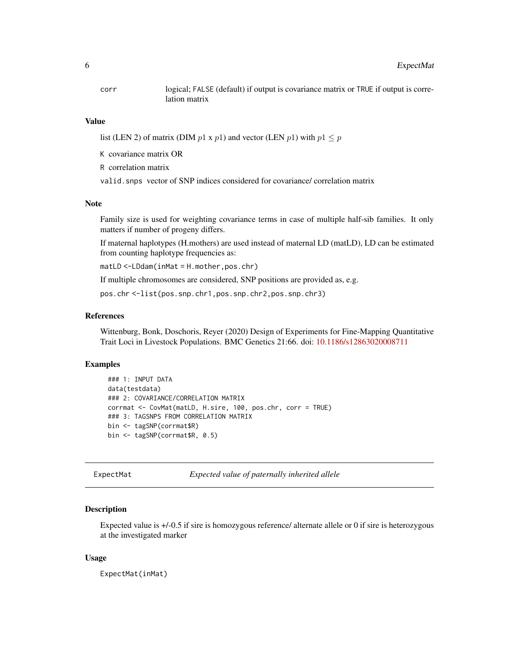<span id="page-5-0"></span>

corr logical; FALSE (default) if output is covariance matrix or TRUE if output is correlation matrix

#### Value

list (LEN 2) of matrix (DIM  $p1 \times p1$ ) and vector (LEN  $p1$ ) with  $p1 \leq p$ 

K covariance matrix OR

R correlation matrix

valid.snps vector of SNP indices considered for covariance/ correlation matrix

#### Note

Family size is used for weighting covariance terms in case of multiple half-sib families. It only matters if number of progeny differs.

If maternal haplotypes (H.mothers) are used instead of maternal LD (matLD), LD can be estimated from counting haplotype frequencies as:

matLD <-LDdam(inMat = H.mother,pos.chr)

If multiple chromosomes are considered, SNP positions are provided as, e.g.

pos.chr <-list(pos.snp.chr1,pos.snp.chr2,pos.snp.chr3)

#### References

Wittenburg, Bonk, Doschoris, Reyer (2020) Design of Experiments for Fine-Mapping Quantitative Trait Loci in Livestock Populations. BMC Genetics 21:66. doi: [10.1186/s12863020008711](https://doi.org/10.1186/s12863-020-00871-1)

#### Examples

```
### 1: INPUT DATA
data(testdata)
### 2: COVARIANCE/CORRELATION MATRIX
corrmat <- CovMat(matLD, H.sire, 100, pos.chr, corr = TRUE)
### 3: TAGSNPS FROM CORRELATION MATRIX
bin <- tagSNP(corrmat$R)
bin <- tagSNP(corrmat$R, 0.5)
```
ExpectMat *Expected value of paternally inherited allele*

#### **Description**

Expected value is +/-0.5 if sire is homozygous reference/ alternate allele or 0 if sire is heterozygous at the investigated marker

#### Usage

ExpectMat(inMat)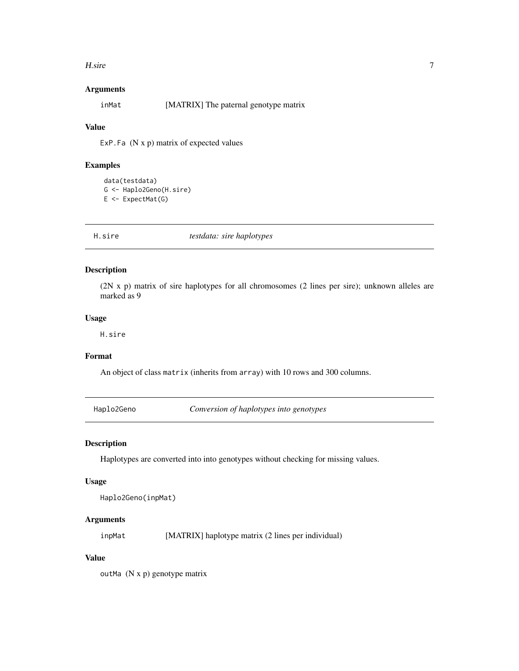#### <span id="page-6-0"></span>H.sire 7

# Arguments

inMat [MATRIX] The paternal genotype matrix

### Value

ExP. Fa  $(N x p)$  matrix of expected values

# Examples

```
data(testdata)
G <- Haplo2Geno(H.sire)
E \leftarrow ExpectMat(G)
```
H.sire *testdata: sire haplotypes*

# Description

(2N x p) matrix of sire haplotypes for all chromosomes (2 lines per sire); unknown alleles are marked as 9

# Usage

H.sire

# Format

An object of class matrix (inherits from array) with 10 rows and 300 columns.

Haplo2Geno *Conversion of haplotypes into genotypes*

# Description

Haplotypes are converted into into genotypes without checking for missing values.

#### Usage

Haplo2Geno(inpMat)

# Arguments

inpMat [MATRIX] haplotype matrix (2 lines per individual)

# Value

outMa (N x p) genotype matrix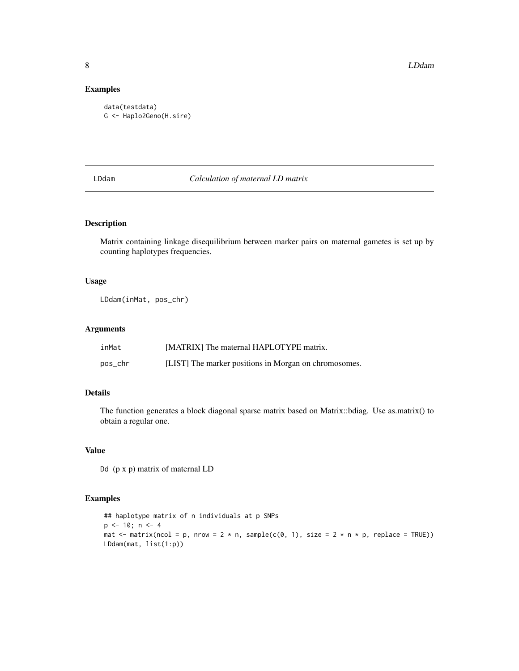8 **B** 

# Examples

```
data(testdata)
G <- Haplo2Geno(H.sire)
```
LDdam *Calculation of maternal LD matrix*

# Description

Matrix containing linkage disequilibrium between marker pairs on maternal gametes is set up by counting haplotypes frequencies.

#### Usage

LDdam(inMat, pos\_chr)

#### Arguments

| inMat   | [MATRIX] The maternal HAPLOTYPE matrix.               |
|---------|-------------------------------------------------------|
| pos_chr | [LIST] The marker positions in Morgan on chromosomes. |

# Details

The function generates a block diagonal sparse matrix based on Matrix::bdiag. Use as.matrix() to obtain a regular one.

# Value

Dd (p x p) matrix of maternal LD

```
## haplotype matrix of n individuals at p SNPs
p \le -10; n \le -4mat \le matrix(ncol = p, nrow = 2 \star n, sample(c(0, 1), size = 2 \star n \star p, replace = TRUE))
LDdam(mat, list(1:p))
```
<span id="page-7-0"></span>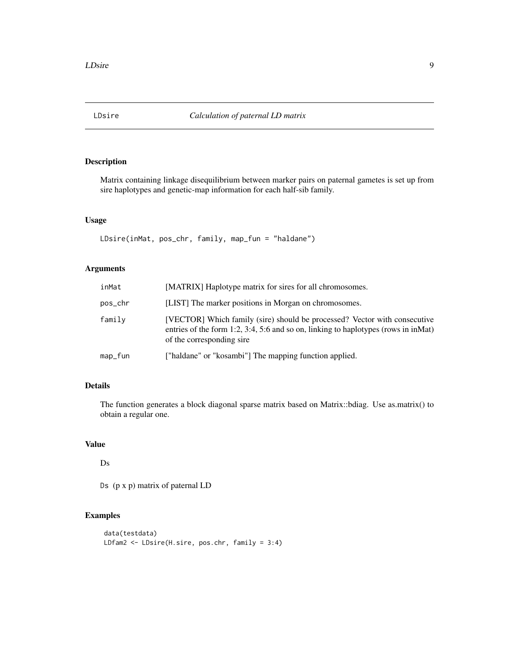<span id="page-8-0"></span>

Matrix containing linkage disequilibrium between marker pairs on paternal gametes is set up from sire haplotypes and genetic-map information for each half-sib family.

# Usage

LDsire(inMat, pos\_chr, family, map\_fun = "haldane")

# Arguments

| inMat   | [MATRIX] Haplotype matrix for sires for all chromosomes.                                                                                                                                      |
|---------|-----------------------------------------------------------------------------------------------------------------------------------------------------------------------------------------------|
| pos_chr | [LIST] The marker positions in Morgan on chromosomes.                                                                                                                                         |
| family  | [VECTOR] Which family (sire) should be processed? Vector with consecutive<br>entries of the form 1:2, 3:4, 5:6 and so on, linking to haplotypes (rows in in Mat)<br>of the corresponding sire |
| map_fun | ["haldane" or "kosambi"] The mapping function applied.                                                                                                                                        |

# Details

The function generates a block diagonal sparse matrix based on Matrix::bdiag. Use as.matrix() to obtain a regular one.

# Value

Ds

Ds (p x p) matrix of paternal LD

```
data(testdata)
LDfam2 <- LDsire(H.sire, pos.chr, family = 3:4)
```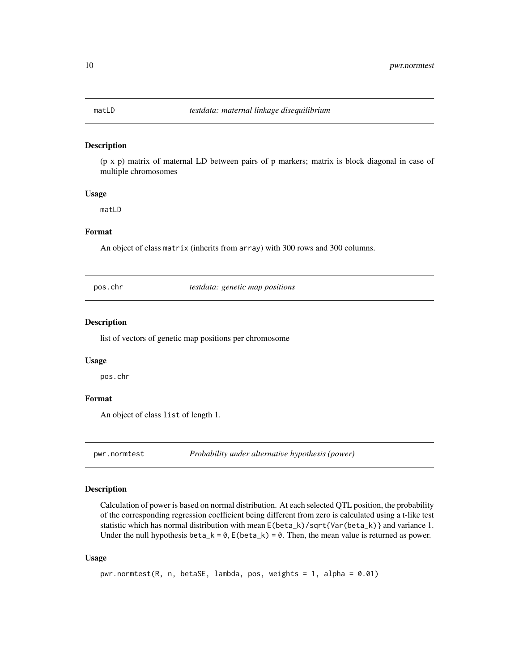<span id="page-9-0"></span>

(p x p) matrix of maternal LD between pairs of p markers; matrix is block diagonal in case of multiple chromosomes

#### Usage

matLD

#### Format

An object of class matrix (inherits from array) with 300 rows and 300 columns.

pos.chr *testdata: genetic map positions*

# Description

list of vectors of genetic map positions per chromosome

#### Usage

pos.chr

# Format

An object of class list of length 1.

pwr.normtest *Probability under alternative hypothesis (power)*

# Description

Calculation of power is based on normal distribution. At each selected QTL position, the probability of the corresponding regression coefficient being different from zero is calculated using a t-like test statistic which has normal distribution with mean  $E(\beta_t) / \sqrt{2}T{\gamma(\beta_t)}$  and variance 1. Under the null hypothesis beta\_k =  $0$ ,  $E(\beta_k) = 0$ . Then, the mean value is returned as power.

#### Usage

```
pwr.normtest(R, n, betaSE, lambda, pos, weights = 1, alpha = 0.01)
```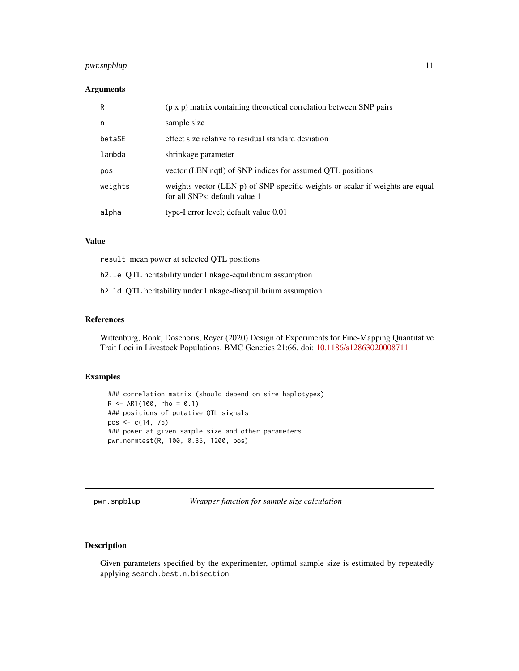# <span id="page-10-0"></span>pwr.snpblup 11

# Arguments

| R       | $(p \times p)$ matrix containing theoretical correlation between SNP pairs                                     |
|---------|----------------------------------------------------------------------------------------------------------------|
| n       | sample size                                                                                                    |
| betaSE  | effect size relative to residual standard deviation                                                            |
| lambda  | shrinkage parameter                                                                                            |
| pos     | vector (LEN nqtl) of SNP indices for assumed QTL positions                                                     |
| weights | weights vector (LEN p) of SNP-specific weights or scalar if weights are equal<br>for all SNPs; default value 1 |
| alpha   | type-I error level; default value 0.01                                                                         |

#### Value

result mean power at selected QTL positions

h2.le QTL heritability under linkage-equilibrium assumption

h2.ld QTL heritability under linkage-disequilibrium assumption

#### References

Wittenburg, Bonk, Doschoris, Reyer (2020) Design of Experiments for Fine-Mapping Quantitative Trait Loci in Livestock Populations. BMC Genetics 21:66. doi: [10.1186/s12863020008711](https://doi.org/10.1186/s12863-020-00871-1)

# Examples

```
### correlation matrix (should depend on sire haplotypes)
R <- AR1(100, rho = 0.1)
### positions of putative QTL signals
pos <- c(14, 75)
### power at given sample size and other parameters
pwr.normtest(R, 100, 0.35, 1200, pos)
```
pwr.snpblup *Wrapper function for sample size calculation*

# Description

Given parameters specified by the experimenter, optimal sample size is estimated by repeatedly applying search.best.n.bisection.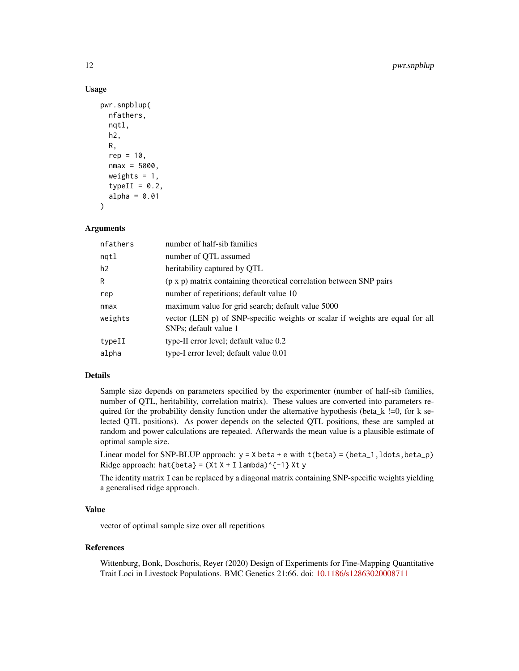# Usage

```
pwr.snpblup(
  nfathers,
  nqtl,
  h2,
  R,
  rep = 10,
  nmax = 5000,
  weights = 1,
  typeII = 0.2,
  alpha = 0.01)
```
#### **Arguments**

| nfathers | number of half-sib families                                                                            |
|----------|--------------------------------------------------------------------------------------------------------|
| ngtl     | number of QTL assumed                                                                                  |
| h2       | heritability captured by QTL                                                                           |
| R        | $(p \times p)$ matrix containing theoretical correlation between SNP pairs                             |
| rep      | number of repetitions; default value 10                                                                |
| nmax     | maximum value for grid search; default value 5000                                                      |
| weights  | vector (LEN p) of SNP-specific weights or scalar if weights are equal for all<br>SNPs; default value 1 |
| typeII   | type-II error level; default value 0.2                                                                 |
| alpha    | type-I error level; default value 0.01                                                                 |

#### Details

Sample size depends on parameters specified by the experimenter (number of half-sib families, number of QTL, heritability, correlation matrix). These values are converted into parameters required for the probability density function under the alternative hypothesis (beta\_k !=0, for k selected QTL positions). As power depends on the selected QTL positions, these are sampled at random and power calculations are repeated. Afterwards the mean value is a plausible estimate of optimal sample size.

Linear model for SNP-BLUP approach:  $y = X$  beta + e with t(beta) = (beta\_1, ldots, beta\_p) Ridge approach: hat{beta} =  $(Xt X + I \lambda)$ ambda)^{-1} Xt y

The identity matrix I can be replaced by a diagonal matrix containing SNP-specific weights yielding a generalised ridge approach.

#### Value

vector of optimal sample size over all repetitions

#### References

Wittenburg, Bonk, Doschoris, Reyer (2020) Design of Experiments for Fine-Mapping Quantitative Trait Loci in Livestock Populations. BMC Genetics 21:66. doi: [10.1186/s12863020008711](https://doi.org/10.1186/s12863-020-00871-1)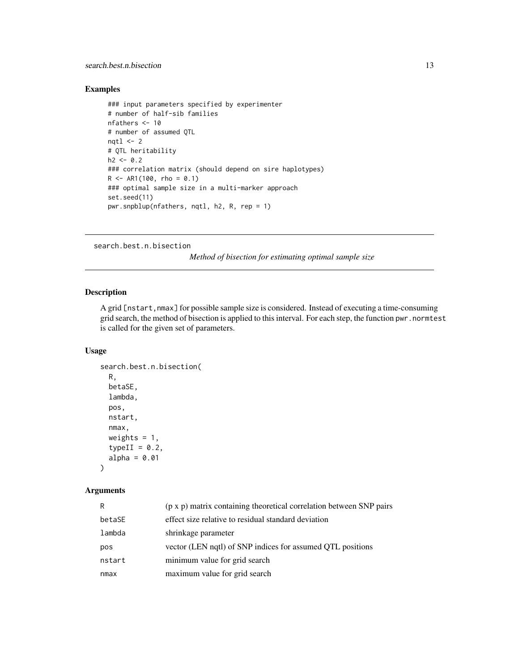# <span id="page-12-0"></span>Examples

```
### input parameters specified by experimenter
# number of half-sib families
nfathers <- 10
# number of assumed QTL
nqtl <-2# QTL heritability
h2 < -0.2### correlation matrix (should depend on sire haplotypes)
R <- AR1(100, rho = 0.1)
### optimal sample size in a multi-marker approach
set.seed(11)
pwr.snpblup(nfathers, nqtl, h2, R, rep = 1)
```

```
search.best.n.bisection
```
*Method of bisection for estimating optimal sample size*

# Description

A grid [nstart,nmax] for possible sample size is considered. Instead of executing a time-consuming grid search, the method of bisection is applied to this interval. For each step, the function pwr.normtest is called for the given set of parameters.

#### Usage

```
search.best.n.bisection(
 R,
 betaSE,
 lambda,
 pos,
 nstart,
 nmax,
 weights = 1,
  typeII = 0.2,
  alpha = 0.01)
```
# Arguments

| R      | (p x p) matrix containing theoretical correlation between SNP pairs |
|--------|---------------------------------------------------------------------|
| betaSE | effect size relative to residual standard deviation                 |
| lambda | shrinkage parameter                                                 |
| pos    | vector (LEN nqtl) of SNP indices for assumed QTL positions          |
| nstart | minimum value for grid search                                       |
| nmax   | maximum value for grid search                                       |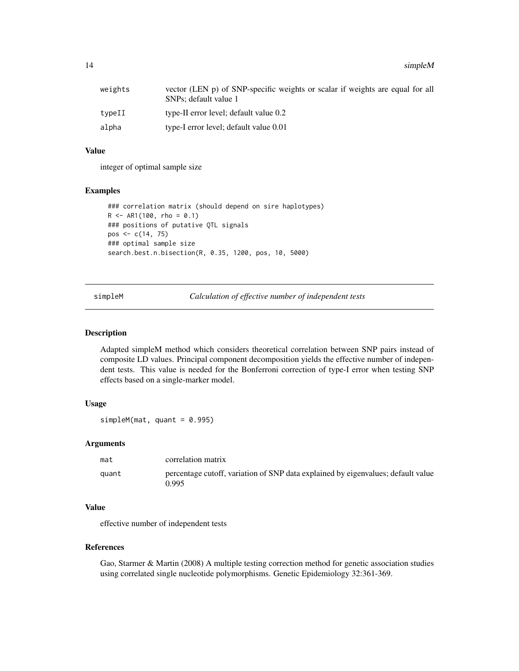<span id="page-13-0"></span>14 simpleM

| weights | vector (LEN p) of SNP-specific weights or scalar if weights are equal for all<br>SNPs; default value 1 |
|---------|--------------------------------------------------------------------------------------------------------|
| typeII  | type-II error level; default value 0.2                                                                 |
| alpha   | type-I error level; default value 0.01                                                                 |

# Value

integer of optimal sample size

#### Examples

```
### correlation matrix (should depend on sire haplotypes)
R <- AR1(100, rho = 0.1)
### positions of putative QTL signals
pos <- c(14, 75)
### optimal sample size
search.best.n.bisection(R, 0.35, 1200, pos, 10, 5000)
```
simpleM *Calculation of effective number of independent tests*

#### Description

Adapted simpleM method which considers theoretical correlation between SNP pairs instead of composite LD values. Principal component decomposition yields the effective number of independent tests. This value is needed for the Bonferroni correction of type-I error when testing SNP effects based on a single-marker model.

# Usage

 $simpleM(mat, quant = 0.995)$ 

# Arguments

| mat   | correlation matrix                                                                        |
|-------|-------------------------------------------------------------------------------------------|
| auant | percentage cutoff, variation of SNP data explained by eigenvalues; default value<br>0.995 |

# Value

effective number of independent tests

#### References

Gao, Starmer & Martin (2008) A multiple testing correction method for genetic association studies using correlated single nucleotide polymorphisms. Genetic Epidemiology 32:361-369.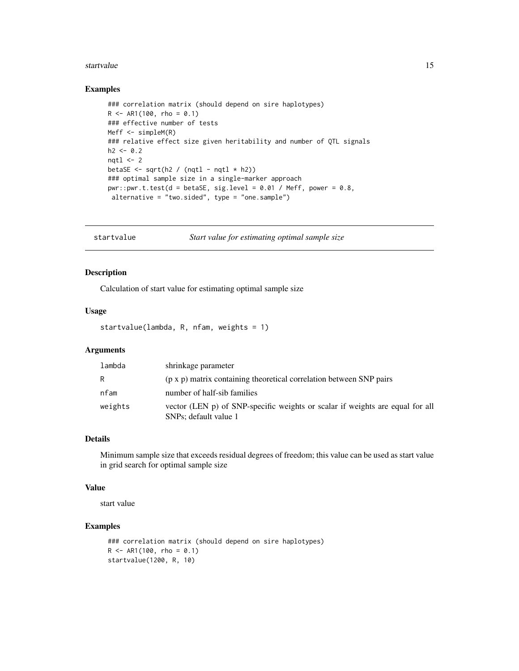#### <span id="page-14-0"></span>startvalue that the contract of the contract of the contract of the contract of the contract of the contract of the contract of the contract of the contract of the contract of the contract of the contract of the contract o

# Examples

```
### correlation matrix (should depend on sire haplotypes)
R <- AR1(100, rho = 0.1)
### effective number of tests
Meff <- simpleM(R)
### relative effect size given heritability and number of QTL signals
h2 < -0.2nqtl < -2betaSE \leq sqrt(h2 / (nqtl - nqtl * h2))
### optimal sample size in a single-marker approach
pwr: pwr.t. test(d = betaSE, sig. level = 0.01 / Meff, power = 0.8,alternative = "two.sided", type = "one.sample")
```
startvalue *Start value for estimating optimal sample size*

### Description

Calculation of start value for estimating optimal sample size

## Usage

startvalue(lambda, R, nfam, weights = 1)

# Arguments

| lambda  | shrinkage parameter                                                                                    |
|---------|--------------------------------------------------------------------------------------------------------|
| R       | (p x p) matrix containing theoretical correlation between SNP pairs                                    |
| nfam    | number of half-sib families                                                                            |
| weights | vector (LEN p) of SNP-specific weights or scalar if weights are equal for all<br>SNPs; default value 1 |

# Details

Minimum sample size that exceeds residual degrees of freedom; this value can be used as start value in grid search for optimal sample size

#### Value

start value

```
### correlation matrix (should depend on sire haplotypes)
R <- AR1(100, rho = 0.1)
startvalue(1200, R, 10)
```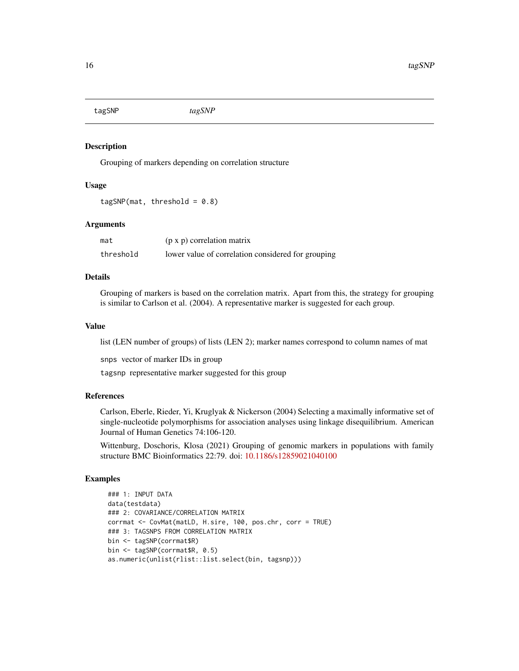<span id="page-15-0"></span>

Grouping of markers depending on correlation structure

## Usage

```
tagSNP(max, threshold = 0.8)
```
#### Arguments

| mat       | $(p \times p)$ correlation matrix                  |
|-----------|----------------------------------------------------|
| threshold | lower value of correlation considered for grouping |

# Details

Grouping of markers is based on the correlation matrix. Apart from this, the strategy for grouping is similar to Carlson et al. (2004). A representative marker is suggested for each group.

#### Value

list (LEN number of groups) of lists (LEN 2); marker names correspond to column names of mat

snps vector of marker IDs in group

tagsnp representative marker suggested for this group

#### References

Carlson, Eberle, Rieder, Yi, Kruglyak & Nickerson (2004) Selecting a maximally informative set of single-nucleotide polymorphisms for association analyses using linkage disequilibrium. American Journal of Human Genetics 74:106-120.

Wittenburg, Doschoris, Klosa (2021) Grouping of genomic markers in populations with family structure BMC Bioinformatics 22:79. doi: [10.1186/s12859021040100](https://doi.org/10.1186/s12859-021-04010-0)

```
### 1: INPUT DATA
data(testdata)
### 2: COVARIANCE/CORRELATION MATRIX
corrmat <- CovMat(matLD, H.sire, 100, pos.chr, corr = TRUE)
### 3: TAGSNPS FROM CORRELATION MATRIX
bin <- tagSNP(corrmat$R)
bin <- tagSNP(corrmat$R, 0.5)
as.numeric(unlist(rlist::list.select(bin, tagsnp)))
```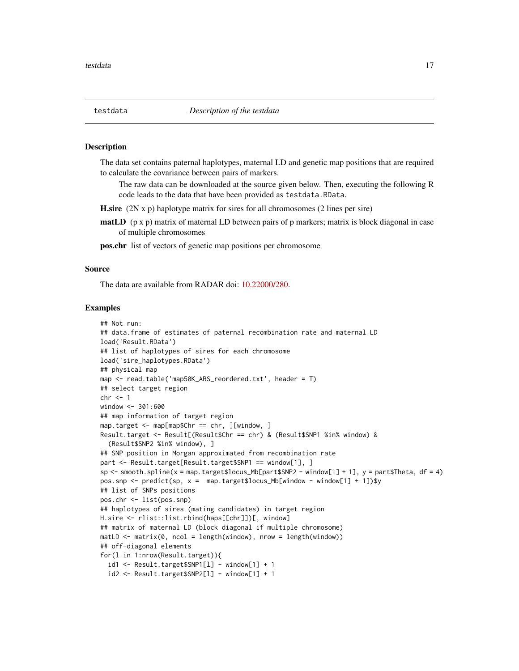<span id="page-16-0"></span>

The data set contains paternal haplotypes, maternal LD and genetic map positions that are required to calculate the covariance between pairs of markers.

The raw data can be downloaded at the source given below. Then, executing the following R code leads to the data that have been provided as testdata.RData.

H.sire (2N x p) haplotype matrix for sires for all chromosomes (2 lines per sire)

- **matLD** ( $p \times p$ ) matrix of maternal LD between pairs of  $p$  markers; matrix is block diagonal in case of multiple chromosomes
- pos.chr list of vectors of genetic map positions per chromosome

#### Source

The data are available from RADAR doi: [10.22000/280.](https://doi.org/10.22000/280)

```
## Not run:
## data.frame of estimates of paternal recombination rate and maternal LD
load('Result.RData')
## list of haplotypes of sires for each chromosome
load('sire_haplotypes.RData')
## physical map
map <- read.table('map50K_ARS_reordered.txt', header = T)
## select target region
chr < -1window <- 301:600
## map information of target region
map.target <- map[map$Chr == chr, ][window, ]
Result.target <- Result[(Result$Chr == chr) & (Result$SNP1 %in% window) &
  (Result$SNP2 %in% window), ]
## SNP position in Morgan approximated from recombination rate
part <- Result.target[Result.target$SNP1 == window[1], ]
sp \leftarrow smooth.splitne(x = map.traingets10cus_Mb[part$SNP2 - window[1] + 1], y = part$Theation of x = 4)pos.snp <- predict(sp, x = \text{map.target$locus_Mb[window - window[1] + 1]}$y
## list of SNPs positions
pos.chr <- list(pos.snp)
## haplotypes of sires (mating candidates) in target region
H.sire <- rlist::list.rbind(haps[[chr]])[, window]
## matrix of maternal LD (block diagonal if multiple chromosome)
match \leftarrow matrix(0, ncol = length(window), nrow = length(window))## off-diagonal elements
for(l in 1:nrow(Result.target)){
  id1 \leq Result.target$SNP1[1] - window[1] + 1
  id2 \leq Result.target$SNP2[1] - window[1] + 1
```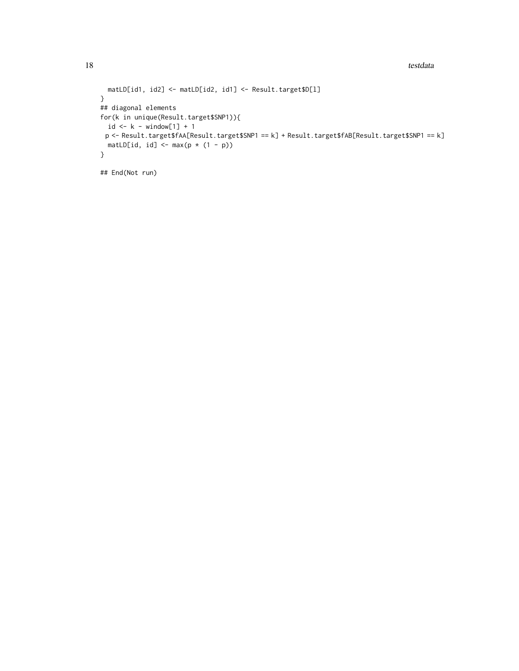```
matLD[id1, id2] <- matLD[id2, id1] <- Result.target$D[l]
}
## diagonal elements
for(k in unique(Result.target$SNP1)){
 id \leftarrow k - window[1] + 1p <- Result.target$fAA[Result.target$SNP1 == k] + Result.target$fAB[Result.target$SNP1 == k]
 matLD[id, id] <- max(p * (1 - p))
}
## End(Not run)
```